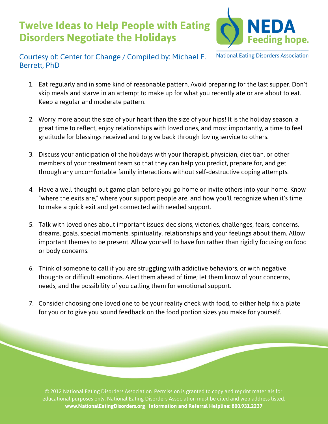## **Twelve Ideas to Help People with Eating Disorders Negotiate the Holidays**



**National Eating Disorders Association** 

## Courtesy of: Center for Change / Compiled by: Michael E. Berrett, PhD

- 1. Eat regularly and in some kind of reasonable pattern. Avoid preparing for the last supper. Don't skip meals and starve in an attempt to make up for what you recently ate or are about to eat. Keep a regular and moderate pattern.
- 2. Worry more about the size of your heart than the size of your hips! It is the holiday season, a great time to reflect, enjoy relationships with loved ones, and most importantly, a time to feel gratitude for blessings received and to give back through loving service to others.
- 3. Discuss your anticipation of the holidays with your therapist, physician, dietitian, or other members of your treatment team so that they can help you predict, prepare for, and get through any uncomfortable family interactions without self-destructive coping attempts.
- 4. Have a well-thought-out game plan before you go home or invite others into your home. Know "where the exits are," where your support people are, and how you'll recognize when it's time to make a quick exit and get connected with needed support.
- 5. Talk with loved ones about important issues: decisions, victories, challenges, fears, concerns, dreams, goals, special moments, spirituality, relationships and your feelings about them. Allow important themes to be present. Allow yourself to have fun rather than rigidly focusing on food or body concerns.
- 6. Think of someone to call if you are struggling with addictive behaviors, or with negative thoughts or difficult emotions. Alert them ahead of time; let them know of your concerns, needs, and the possibility of you calling them for emotional support.
- 7. Consider choosing one loved one to be your reality check with food, to either help fix a plate for you or to give you sound feedback on the food portion sizes you make for yourself.

© 2012 National Eating Disorders Association. Permission is granted to copy and reprint materials for educational purposes only. National Eating Disorders Association must be cited and web address listed. **www.NationalEatingDisorders.org Information and Referral Helpline: 800.931.2237**